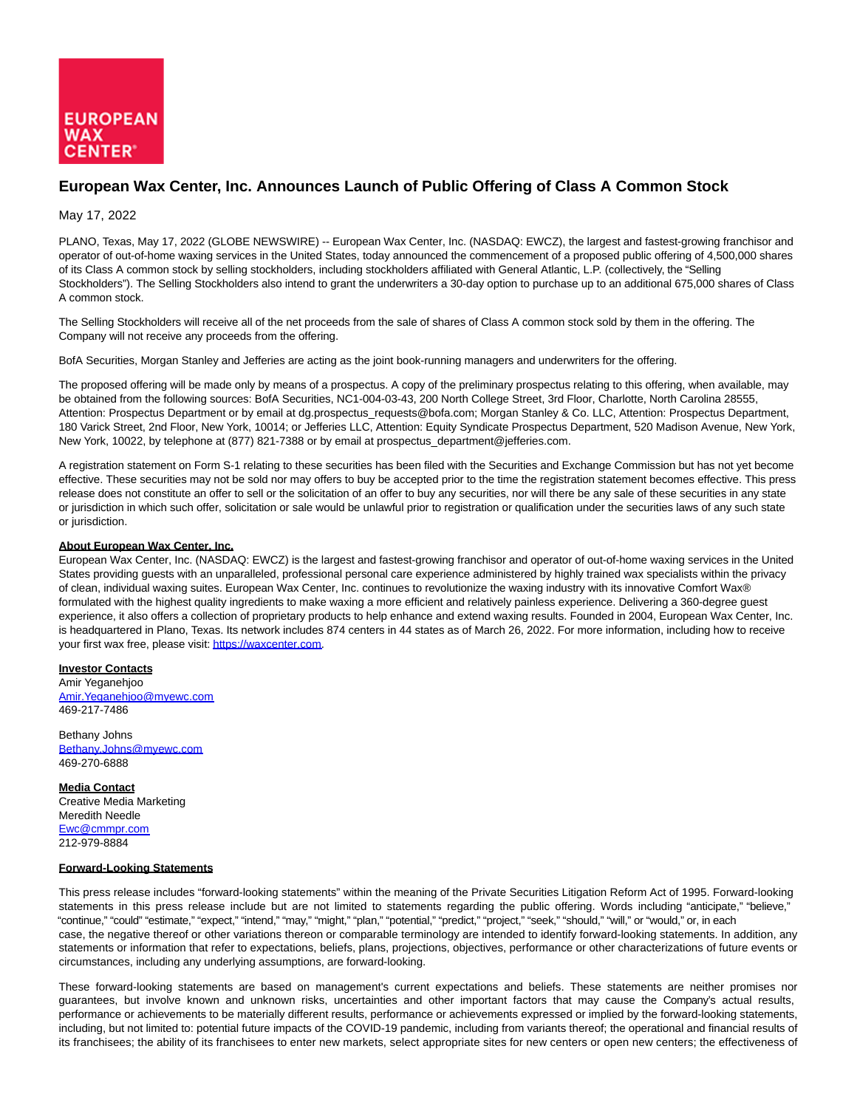

## **European Wax Center, Inc. Announces Launch of Public Offering of Class A Common Stock**

## May 17, 2022

PLANO, Texas, May 17, 2022 (GLOBE NEWSWIRE) -- European Wax Center, Inc. (NASDAQ: EWCZ), the largest and fastest-growing franchisor and operator of out-of-home waxing services in the United States, today announced the commencement of a proposed public offering of 4,500,000 shares of its Class A common stock by selling stockholders, including stockholders affiliated with General Atlantic, L.P. (collectively, the "Selling Stockholders"). The Selling Stockholders also intend to grant the underwriters a 30-day option to purchase up to an additional 675,000 shares of Class A common stock.

The Selling Stockholders will receive all of the net proceeds from the sale of shares of Class A common stock sold by them in the offering. The Company will not receive any proceeds from the offering.

BofA Securities, Morgan Stanley and Jefferies are acting as the joint book-running managers and underwriters for the offering.

The proposed offering will be made only by means of a prospectus. A copy of the preliminary prospectus relating to this offering, when available, may be obtained from the following sources: BofA Securities, NC1-004-03-43, 200 North College Street, 3rd Floor, Charlotte, North Carolina 28555, Attention: Prospectus Department or by email at dg.prospectus\_requests@bofa.com; Morgan Stanley & Co. LLC, Attention: Prospectus Department, 180 Varick Street, 2nd Floor, New York, 10014; or Jefferies LLC, Attention: Equity Syndicate Prospectus Department, 520 Madison Avenue, New York, New York, 10022, by telephone at (877) 821-7388 or by email at prospectus\_department@jefferies.com.

A registration statement on Form S-1 relating to these securities has been filed with the Securities and Exchange Commission but has not yet become effective. These securities may not be sold nor may offers to buy be accepted prior to the time the registration statement becomes effective. This press release does not constitute an offer to sell or the solicitation of an offer to buy any securities, nor will there be any sale of these securities in any state or jurisdiction in which such offer, solicitation or sale would be unlawful prior to registration or qualification under the securities laws of any such state or jurisdiction.

## **About European Wax Center, Inc.**

European Wax Center, Inc. (NASDAQ: EWCZ) is the largest and fastest-growing franchisor and operator of out-of-home waxing services in the United States providing guests with an unparalleled, professional personal care experience administered by highly trained wax specialists within the privacy of clean, individual waxing suites. European Wax Center, Inc. continues to revolutionize the waxing industry with its innovative Comfort Wax® formulated with the highest quality ingredients to make waxing a more efficient and relatively painless experience. Delivering a 360-degree guest experience, it also offers a collection of proprietary products to help enhance and extend waxing results. Founded in 2004, European Wax Center, Inc. is headquartered in Plano, Texas. Its network includes 874 centers in 44 states as of March 26, 2022. For more information, including how to receive your first wax free, please visit[: https://waxcenter.com.](https://www.globenewswire.com/Tracker?data=LH_fwuVasEt0tW-H2fuOLR4NZWeHF7FP3y38c2Yw7TB6oFC6wQw9sUiH-rethbvklzASZBaS69lSGL3pIne4oQ==)

**Investor Contacts** Amir Yeganehjoo [Amir.Yeganehjoo@myewc.com](https://www.globenewswire.com/Tracker?data=JL4TOd2upqqGtxQT0Eqbt8rK8mZtwgaV_VOvrGgF5uhyK3lVRHJf06tX6xkJSkglkfJnZKAXbpIDjNwQzTxB6HzjIIcsEv8pSI2WGxrLK-E=) 469-217-7486

Bethany Johns [Bethany.Johns@myewc.com](https://www.globenewswire.com/Tracker?data=Ei2Uv20vMoVAURYp844Vu7CYvtgV85A9RL8hOF0iffXAqU-_Io0WIyXJyJT9jjyqSFvGlvTBTTjhOdCV6FQVneW7oMMp6xQ3foMG_8c9eWs=) 469-270-6888

**Media Contact** Creative Media Marketing Meredith Needle [Ewc@cmmpr.com](https://www.globenewswire.com/Tracker?data=7A5slzv5EUh47cczl-P2WGZYR1PhBddvFQpAJUuBfVEOVSV0Wvvk6taiwUvXinSVgv1EqawwWEJPLViD5egK3A==) 212-979-8884

## **Forward-Looking Statements**

This press release includes "forward-looking statements" within the meaning of the Private Securities Litigation Reform Act of 1995. Forward-looking statements in this press release include but are not limited to statements regarding the public offering. Words including "anticipate," "believe," "continue," "could" "estimate," "expect," "intend," "may," "might," "plan," "potential," "predict," "project," "seek," "should," "will," or "would," or, in each case, the negative thereof or other variations thereon or comparable terminology are intended to identify forward-looking statements. In addition, any statements or information that refer to expectations, beliefs, plans, projections, objectives, performance or other characterizations of future events or circumstances, including any underlying assumptions, are forward-looking.

These forward-looking statements are based on management's current expectations and beliefs. These statements are neither promises nor guarantees, but involve known and unknown risks, uncertainties and other important factors that may cause the Company's actual results, performance or achievements to be materially different results, performance or achievements expressed or implied by the forward-looking statements, including, but not limited to: potential future impacts of the COVID-19 pandemic, including from variants thereof; the operational and financial results of its franchisees; the ability of its franchisees to enter new markets, select appropriate sites for new centers or open new centers; the effectiveness of